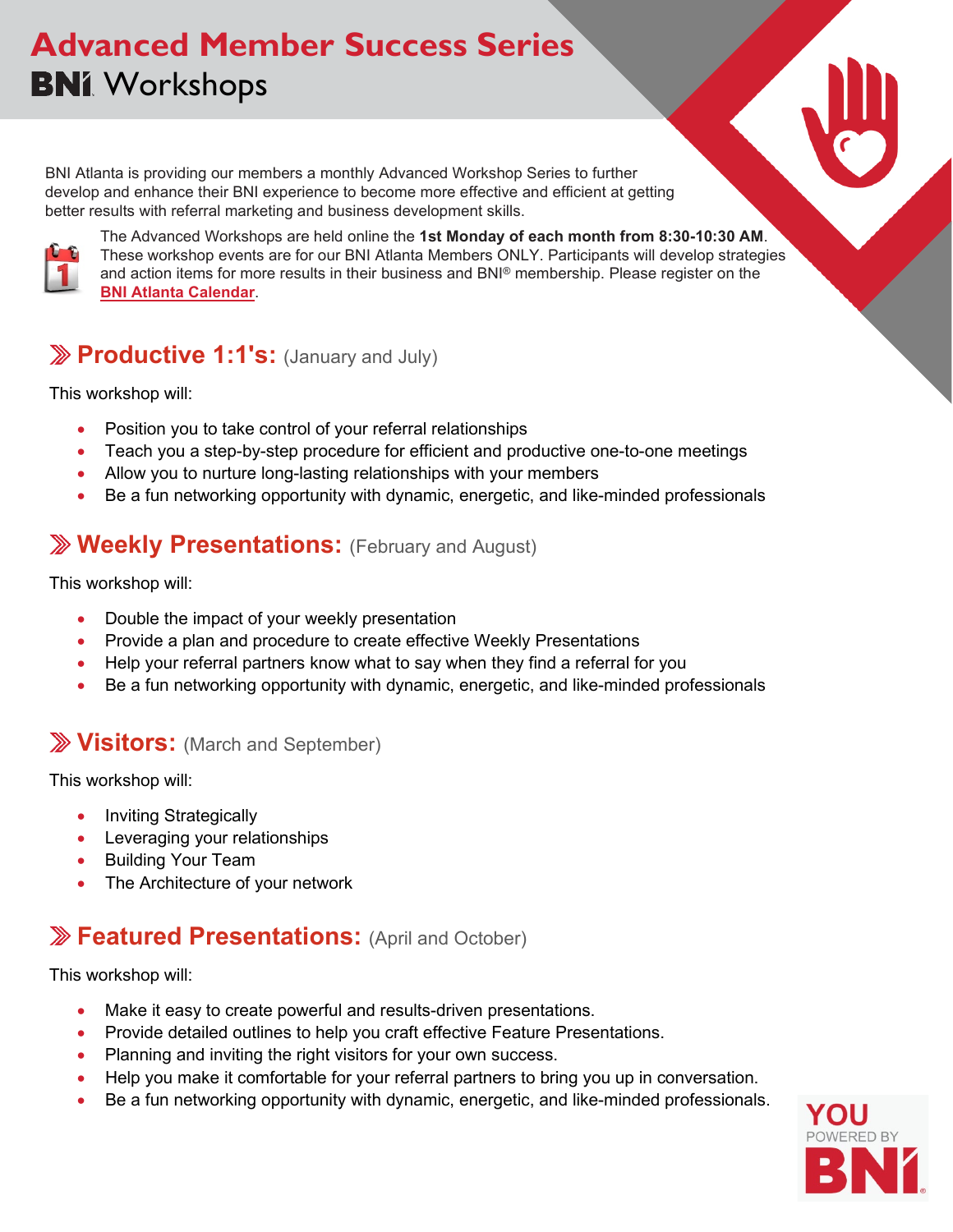# **Advanced Member Success Series BNI** Workshops

BNI Atlanta is providing our members a monthly Advanced Workshop Series to further develop and enhance their BNI experience to become more effective and efficient at getting better results with referral marketing and business development skills.



The Advanced Workshops are held online the **1st Monday of each month from 8:30-10:30 AM**. These workshop events are for our BNI Atlanta Members ONLY. Participants will develop strategies and action items for more results in their business and BNI® membership. Please register on the **[BNI Atlanta Calendar](https://bniatl.com/en-US/events)**.

## **Productive 1:1's:** (January and July)

This workshop will:

- Position you to take control of your referral relationships
- Teach you a step-by-step procedure for efficient and productive one-to-one meetings
- Allow you to nurture long-lasting relationships with your members
- Be a fun networking opportunity with dynamic, energetic, and like-minded professionals

## **Weekly Presentations:** (February and August)

This workshop will:

- Double the impact of your weekly presentation
- Provide a plan and procedure to create effective Weekly Presentations
- Help your referral partners know what to say when they find a referral for you
- Be a fun networking opportunity with dynamic, energetic, and like-minded professionals

## **Visitors:** (March and September)

This workshop will:

- Inviting Strategically
- Leveraging your relationships
- Building Your Team
- The Architecture of your network

## **Featured Presentations:** (April and October)

This workshop will:

- Make it easy to create powerful and results-driven presentations.
- Provide detailed outlines to help you craft effective Feature Presentations.
- Planning and inviting the right visitors for your own success.
- Help you make it comfortable for your referral partners to bring you up in conversation.
- Be a fun networking opportunity with dynamic, energetic, and like-minded professionals.